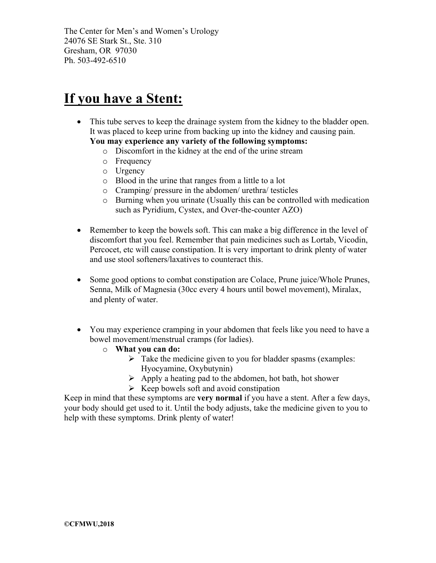The Center for Men's and Women's Urology 24076 SE Stark St., Ste. 310 Gresham, OR 97030 Ph. 503-492-6510

## **If you have a Stent:**

- This tube serves to keep the drainage system from the kidney to the bladder open. It was placed to keep urine from backing up into the kidney and causing pain. **You may experience any variety of the following symptoms:**
	- o Discomfort in the kidney at the end of the urine stream
	- o Frequency
	- o Urgency
	- o Blood in the urine that ranges from a little to a lot
	- o Cramping/ pressure in the abdomen/ urethra/ testicles
	- o Burning when you urinate (Usually this can be controlled with medication such as Pyridium, Cystex, and Over-the-counter AZO)
- Remember to keep the bowels soft. This can make a big difference in the level of discomfort that you feel. Remember that pain medicines such as Lortab, Vicodin, Percocet, etc will cause constipation. It is very important to drink plenty of water and use stool softeners/laxatives to counteract this.
- Some good options to combat constipation are Colace, Prune juice/Whole Prunes, Senna, Milk of Magnesia (30cc every 4 hours until bowel movement), Miralax, and plenty of water.
- You may experience cramping in your abdomen that feels like you need to have a bowel movement/menstrual cramps (for ladies).
	- o **What you can do:**
		- $\triangleright$  Take the medicine given to you for bladder spasms (examples: Hyocyamine, Oxybutynin)
		- $\triangleright$  Apply a heating pad to the abdomen, hot bath, hot shower
		- $\triangleright$  Keep bowels soft and avoid constipation

Keep in mind that these symptoms are **very normal** if you have a stent. After a few days, your body should get used to it. Until the body adjusts, take the medicine given to you to help with these symptoms. Drink plenty of water!